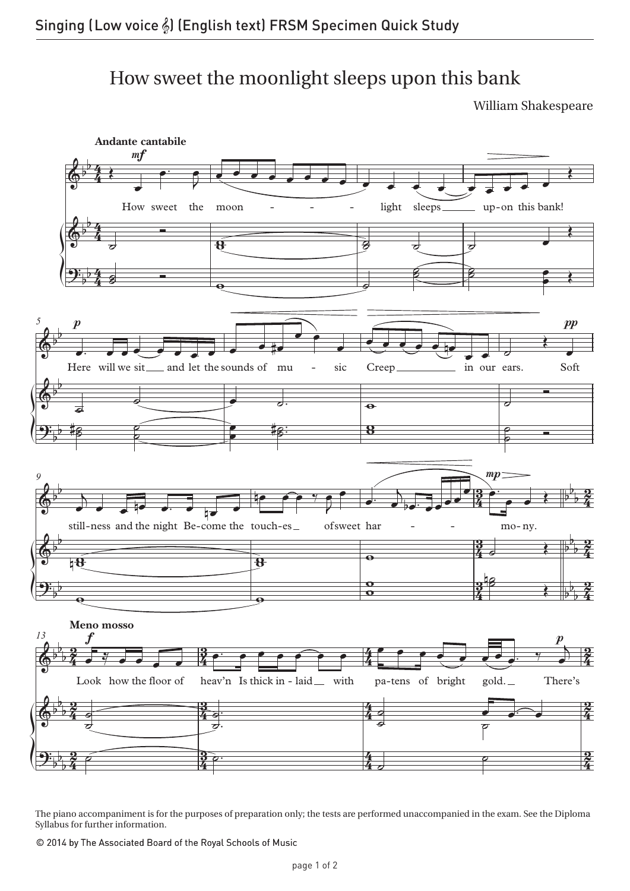## How sweet the moonlight sleeps upon this bank How sweet the moonlight sleeps upon this bank

William Shakespeare



The piano accompaniment is for the purposes of preparation only; the tests are performed unaccompanied in the exam. See the Diploma Syllabus for further information.

© 2014 by The Associated Board of the Royal Schools of Music